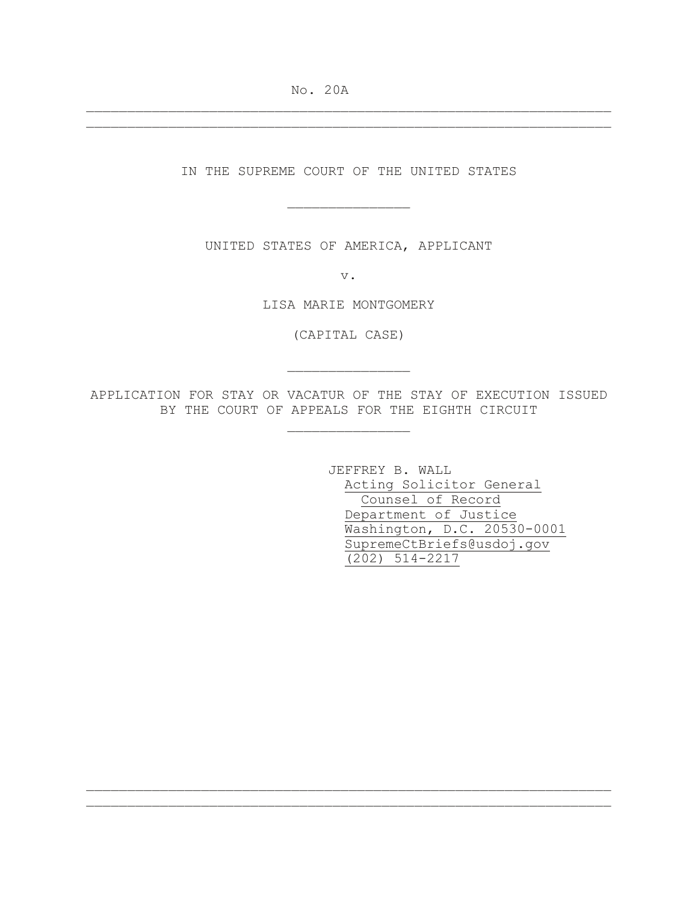No. 20A

IN THE SUPREME COURT OF THE UNITED STATES

\_\_\_\_\_\_\_\_\_\_\_\_\_\_\_

\_\_\_\_\_\_\_\_\_\_\_\_\_\_\_\_\_\_\_\_\_\_\_\_\_\_\_\_\_\_\_\_\_\_\_\_\_\_\_\_\_\_\_\_\_\_\_\_\_\_\_\_\_\_\_\_\_\_\_\_\_\_\_\_ \_\_\_\_\_\_\_\_\_\_\_\_\_\_\_\_\_\_\_\_\_\_\_\_\_\_\_\_\_\_\_\_\_\_\_\_\_\_\_\_\_\_\_\_\_\_\_\_\_\_\_\_\_\_\_\_\_\_\_\_\_\_\_\_

UNITED STATES OF AMERICA, APPLICANT

v.

LISA MARIE MONTGOMERY

(CAPITAL CASE)

\_\_\_\_\_\_\_\_\_\_\_\_\_\_\_

APPLICATION FOR STAY OR VACATUR OF THE STAY OF EXECUTION ISSUED BY THE COURT OF APPEALS FOR THE EIGHTH CIRCUIT

\_\_\_\_\_\_\_\_\_\_\_\_\_\_\_

\_\_\_\_\_\_\_\_\_\_\_\_\_\_\_\_\_\_\_\_\_\_\_\_\_\_\_\_\_\_\_\_\_\_\_\_\_\_\_\_\_\_\_\_\_\_\_\_\_\_\_\_\_\_\_\_\_\_\_\_\_\_\_\_ \_\_\_\_\_\_\_\_\_\_\_\_\_\_\_\_\_\_\_\_\_\_\_\_\_\_\_\_\_\_\_\_\_\_\_\_\_\_\_\_\_\_\_\_\_\_\_\_\_\_\_\_\_\_\_\_\_\_\_\_\_\_\_\_

JEFFREY B. WALL Acting Solicitor General Counsel of Record Department of Justice Washington, D.C. 20530-0001 SupremeCtBriefs@usdoj.gov (202) 514-2217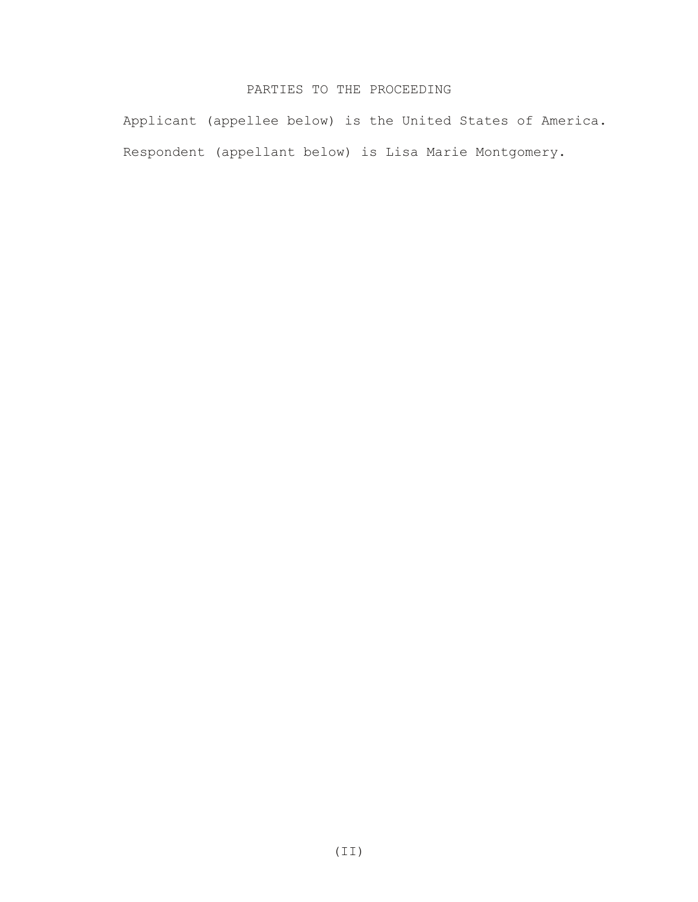## PARTIES TO THE PROCEEDING

Applicant (appellee below) is the United States of America. Respondent (appellant below) is Lisa Marie Montgomery.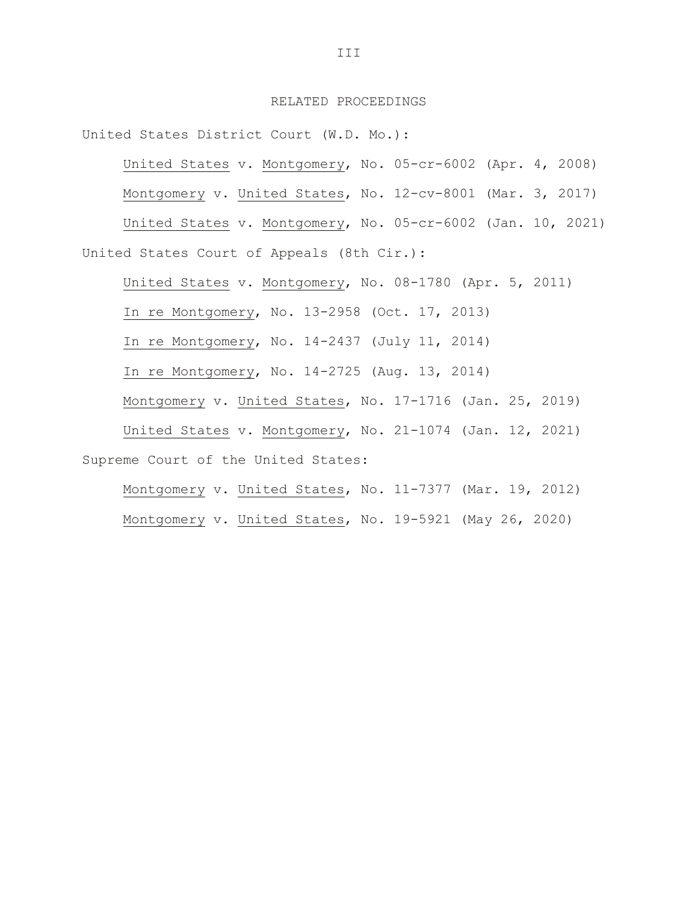### RELATED PROCEEDINGS

United States District Court (W.D. Mo.):

United States v. Montgomery, No. 05-cr-6002 (Apr. 4, 2008)

Montgomery v. United States, No. 12-cv-8001 (Mar. 3, 2017)

United States v. Montgomery, No. 05-cr-6002 (Jan. 10, 2021) United States Court of Appeals (8th Cir.):

United States v. Montgomery, No. 08-1780 (Apr. 5, 2011)

In re Montgomery, No. 13-2958 (Oct. 17, 2013)

In re Montgomery, No. 14-2437 (July 11, 2014)

In re Montgomery, No. 14-2725 (Aug. 13, 2014)

Montgomery v. United States, No. 17-1716 (Jan. 25, 2019)

United States v. Montgomery, No. 21-1074 (Jan. 12, 2021) Supreme Court of the United States:

Montgomery v. United States, No. 11-7377 (Mar. 19, 2012) Montgomery v. United States, No. 19-5921 (May 26, 2020)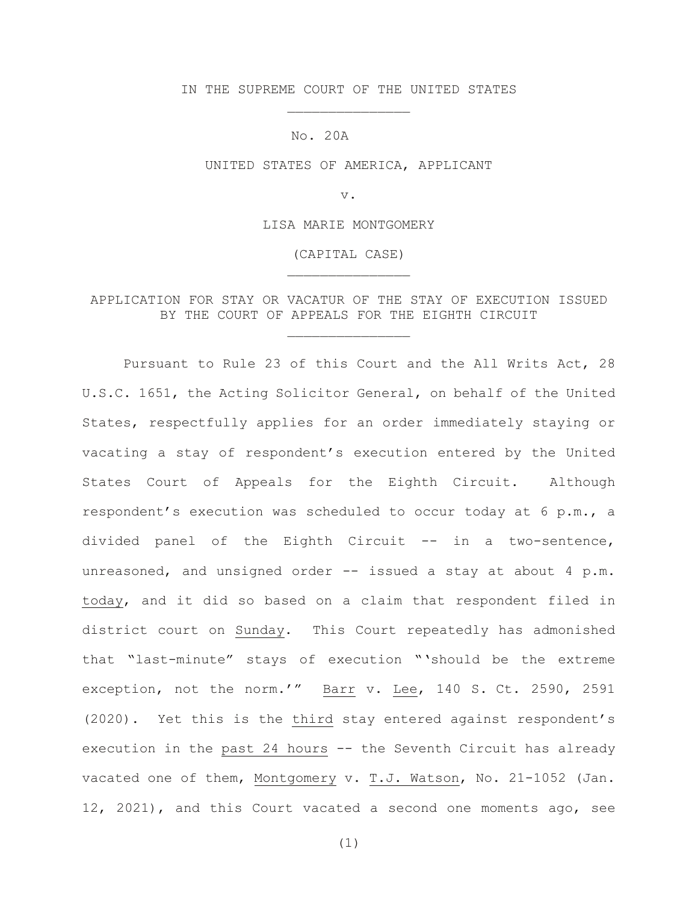IN THE SUPREME COURT OF THE UNITED STATES \_\_\_\_\_\_\_\_\_\_\_\_\_\_\_

No. 20A

UNITED STATES OF AMERICA, APPLICANT

v.

LISA MARIE MONTGOMERY

(CAPITAL CASE) \_\_\_\_\_\_\_\_\_\_\_\_\_\_\_

APPLICATION FOR STAY OR VACATUR OF THE STAY OF EXECUTION ISSUED BY THE COURT OF APPEALS FOR THE EIGHTH CIRCUIT

\_\_\_\_\_\_\_\_\_\_\_\_\_\_\_

Pursuant to Rule 23 of this Court and the All Writs Act, 28 U.S.C. 1651, the Acting Solicitor General, on behalf of the United States, respectfully applies for an order immediately staying or vacating a stay of respondent's execution entered by the United States Court of Appeals for the Eighth Circuit. Although respondent's execution was scheduled to occur today at 6 p.m., a divided panel of the Eighth Circuit -- in a two-sentence, unreasoned, and unsigned order -- issued a stay at about 4 p.m. today, and it did so based on a claim that respondent filed in district court on Sunday**.** This Court repeatedly has admonished that "last-minute" stays of execution "'should be the extreme exception, not the norm.'" Barr v. Lee, 140 S. Ct. 2590, 2591 (2020). Yet this is the third stay entered against respondent's execution in the past 24 hours -- the Seventh Circuit has already vacated one of them, Montgomery v. T.J. Watson, No. 21-1052 (Jan. 12, 2021), and this Court vacated a second one moments ago, see

(1)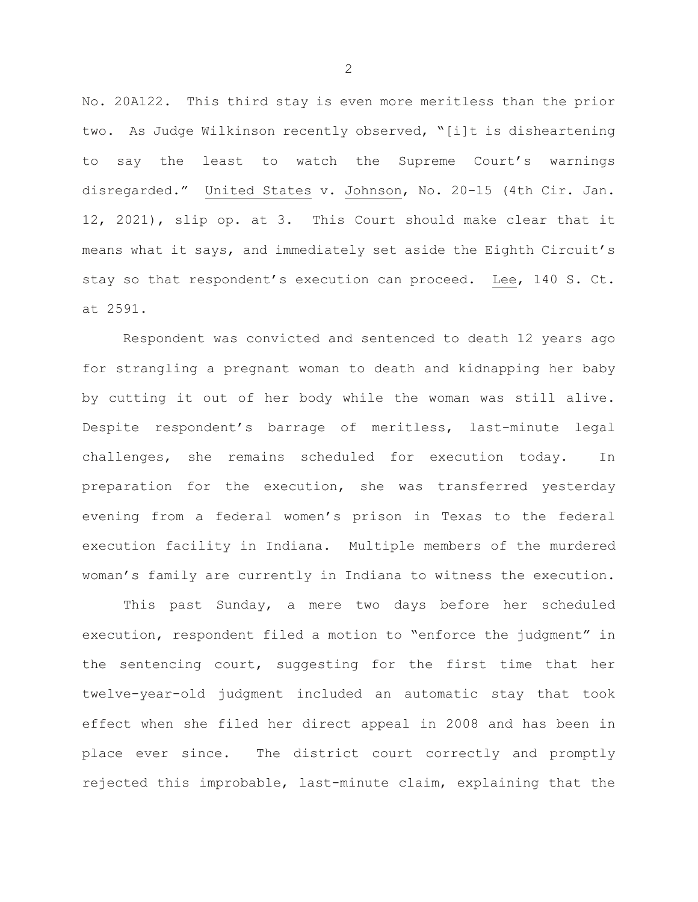No. 20A122. This third stay is even more meritless than the prior two. As Judge Wilkinson recently observed, "[i]t is disheartening to say the least to watch the Supreme Court's warnings disregarded." United States v. Johnson, No. 20-15 (4th Cir. Jan. 12, 2021), slip op. at 3. This Court should make clear that it means what it says, and immediately set aside the Eighth Circuit's stay so that respondent's execution can proceed. Lee, 140 S. Ct. at 2591.

Respondent was convicted and sentenced to death 12 years ago for strangling a pregnant woman to death and kidnapping her baby by cutting it out of her body while the woman was still alive. Despite respondent's barrage of meritless, last-minute legal challenges, she remains scheduled for execution today. In preparation for the execution, she was transferred yesterday evening from a federal women's prison in Texas to the federal execution facility in Indiana. Multiple members of the murdered woman's family are currently in Indiana to witness the execution.

This past Sunday, a mere two days before her scheduled execution, respondent filed a motion to "enforce the judgment" in the sentencing court, suggesting for the first time that her twelve-year-old judgment included an automatic stay that took effect when she filed her direct appeal in 2008 and has been in place ever since. The district court correctly and promptly rejected this improbable, last-minute claim, explaining that the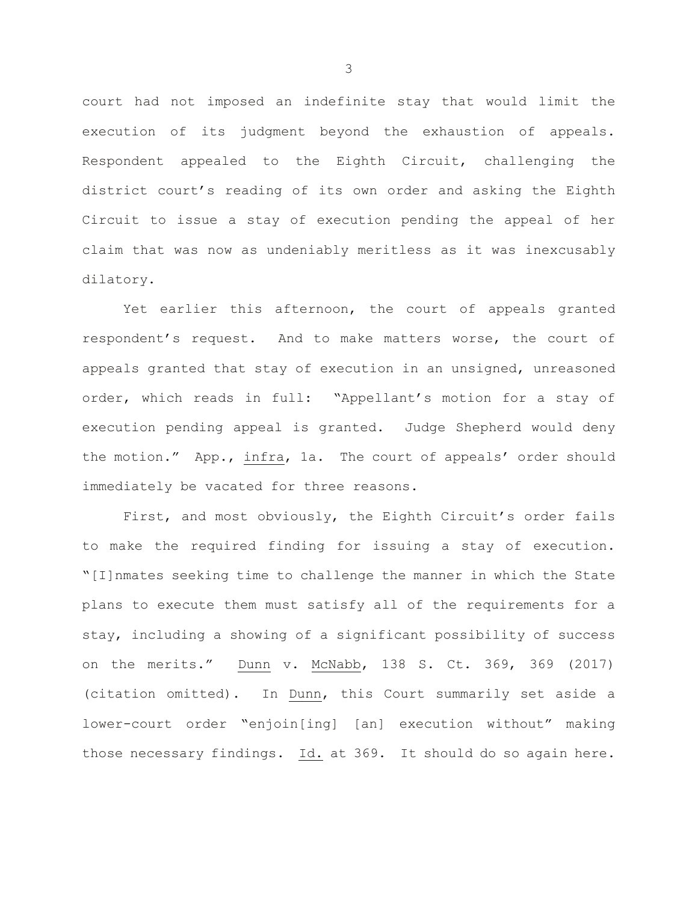court had not imposed an indefinite stay that would limit the execution of its judgment beyond the exhaustion of appeals. Respondent appealed to the Eighth Circuit, challenging the district court's reading of its own order and asking the Eighth Circuit to issue a stay of execution pending the appeal of her claim that was now as undeniably meritless as it was inexcusably dilatory.

Yet earlier this afternoon, the court of appeals granted respondent's request. And to make matters worse, the court of appeals granted that stay of execution in an unsigned, unreasoned order, which reads in full: "Appellant's motion for a stay of execution pending appeal is granted. Judge Shepherd would deny the motion." App., infra, 1a. The court of appeals' order should immediately be vacated for three reasons.

First, and most obviously, the Eighth Circuit's order fails to make the required finding for issuing a stay of execution. "[I]nmates seeking time to challenge the manner in which the State plans to execute them must satisfy all of the requirements for a stay, including a showing of a significant possibility of success on the merits." Dunn v. McNabb, 138 S. Ct. 369, 369 (2017) (citation omitted). In Dunn, this Court summarily set aside a lower-court order "enjoin[ing] [an] execution without" making those necessary findings. Id. at 369. It should do so again here.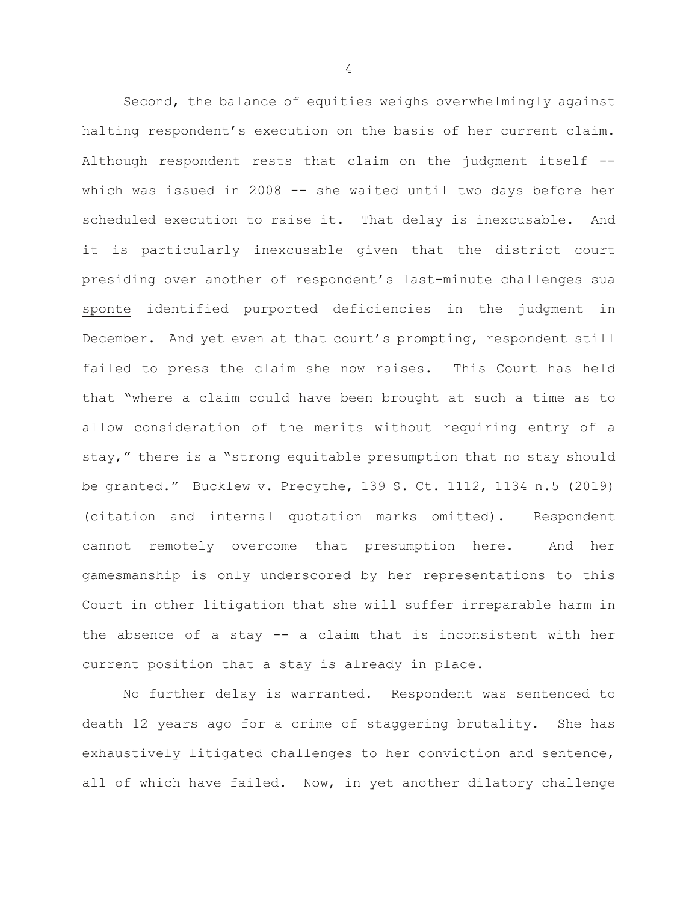Second, the balance of equities weighs overwhelmingly against halting respondent's execution on the basis of her current claim. Although respondent rests that claim on the judgment itself - which was issued in 2008 -- she waited until two days before her scheduled execution to raise it. That delay is inexcusable. And it is particularly inexcusable given that the district court presiding over another of respondent's last-minute challenges sua sponte identified purported deficiencies in the judgment in December. And yet even at that court's prompting, respondent still failed to press the claim she now raises. This Court has held that "where a claim could have been brought at such a time as to allow consideration of the merits without requiring entry of a stay," there is a "strong equitable presumption that no stay should be granted." Bucklew v. Precythe, 139 S. Ct. 1112, 1134 n.5 (2019) (citation and internal quotation marks omitted). Respondent cannot remotely overcome that presumption here. And her gamesmanship is only underscored by her representations to this Court in other litigation that she will suffer irreparable harm in the absence of a stay -- a claim that is inconsistent with her current position that a stay is already in place.

No further delay is warranted. Respondent was sentenced to death 12 years ago for a crime of staggering brutality. She has exhaustively litigated challenges to her conviction and sentence, all of which have failed. Now, in yet another dilatory challenge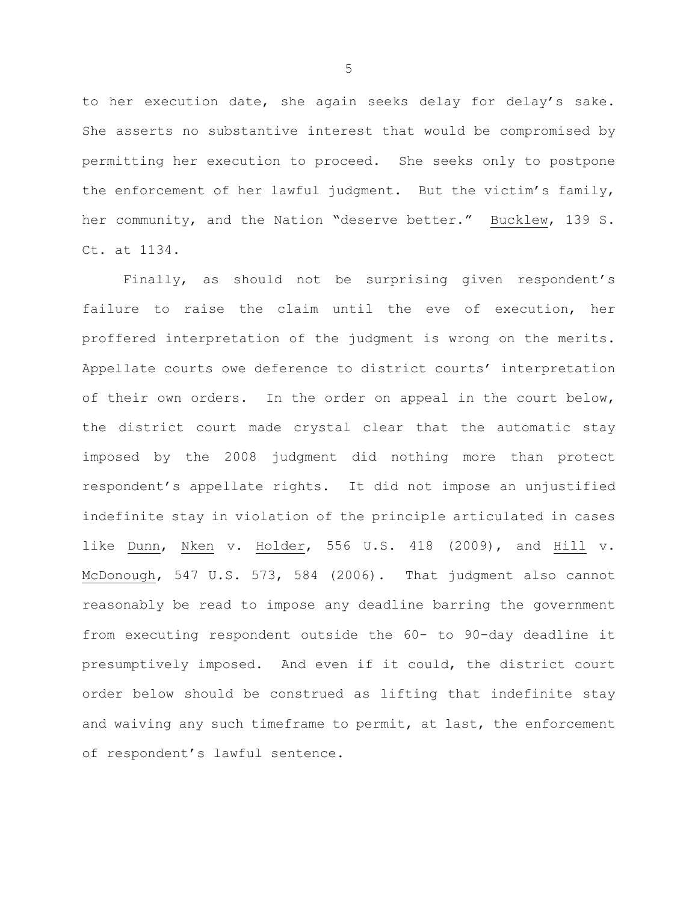to her execution date, she again seeks delay for delay's sake. She asserts no substantive interest that would be compromised by permitting her execution to proceed. She seeks only to postpone the enforcement of her lawful judgment. But the victim's family, her community, and the Nation "deserve better." Bucklew, 139 S. Ct. at 1134.

Finally, as should not be surprising given respondent's failure to raise the claim until the eve of execution, her proffered interpretation of the judgment is wrong on the merits. Appellate courts owe deference to district courts' interpretation of their own orders. In the order on appeal in the court below, the district court made crystal clear that the automatic stay imposed by the 2008 judgment did nothing more than protect respondent's appellate rights. It did not impose an unjustified indefinite stay in violation of the principle articulated in cases like Dunn, Nken v. Holder, 556 U.S. 418 (2009), and Hill v. McDonough, 547 U.S. 573, 584 (2006). That judgment also cannot reasonably be read to impose any deadline barring the government from executing respondent outside the 60- to 90-day deadline it presumptively imposed. And even if it could, the district court order below should be construed as lifting that indefinite stay and waiving any such timeframe to permit, at last, the enforcement of respondent's lawful sentence.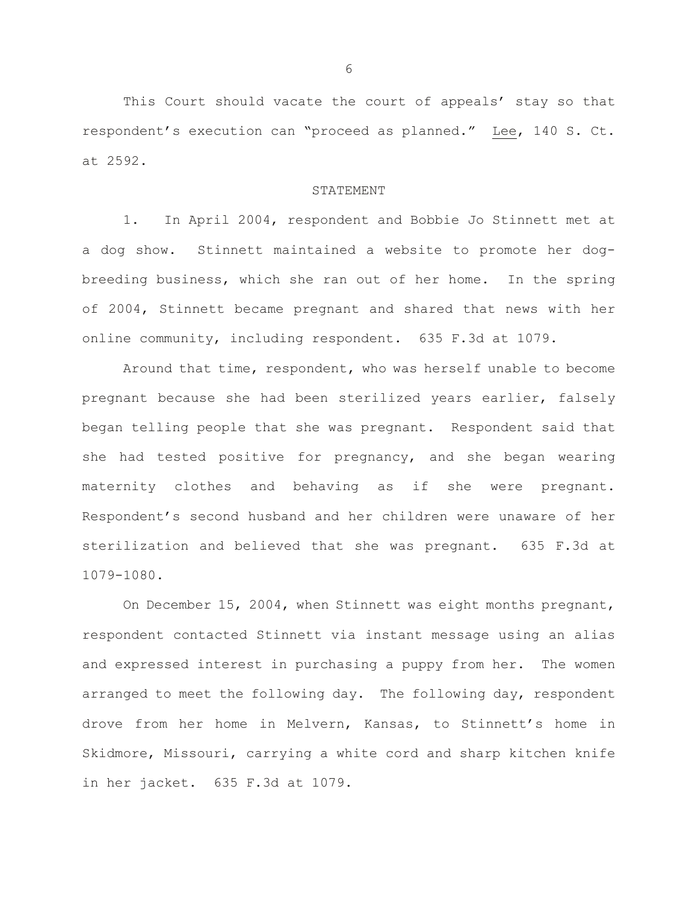This Court should vacate the court of appeals' stay so that respondent's execution can "proceed as planned." Lee, 140 S. Ct. at 2592.

#### STATEMENT

1. In April 2004, respondent and Bobbie Jo Stinnett met at a dog show. Stinnett maintained a website to promote her dogbreeding business, which she ran out of her home. In the spring of 2004, Stinnett became pregnant and shared that news with her online community, including respondent. 635 F.3d at 1079.

Around that time, respondent, who was herself unable to become pregnant because she had been sterilized years earlier, falsely began telling people that she was pregnant. Respondent said that she had tested positive for pregnancy, and she began wearing maternity clothes and behaving as if she were pregnant. Respondent's second husband and her children were unaware of her sterilization and believed that she was pregnant. 635 F.3d at 1079-1080.

On December 15, 2004, when Stinnett was eight months pregnant, respondent contacted Stinnett via instant message using an alias and expressed interest in purchasing a puppy from her. The women arranged to meet the following day. The following day, respondent drove from her home in Melvern, Kansas, to Stinnett's home in Skidmore, Missouri, carrying a white cord and sharp kitchen knife in her jacket. 635 F.3d at 1079.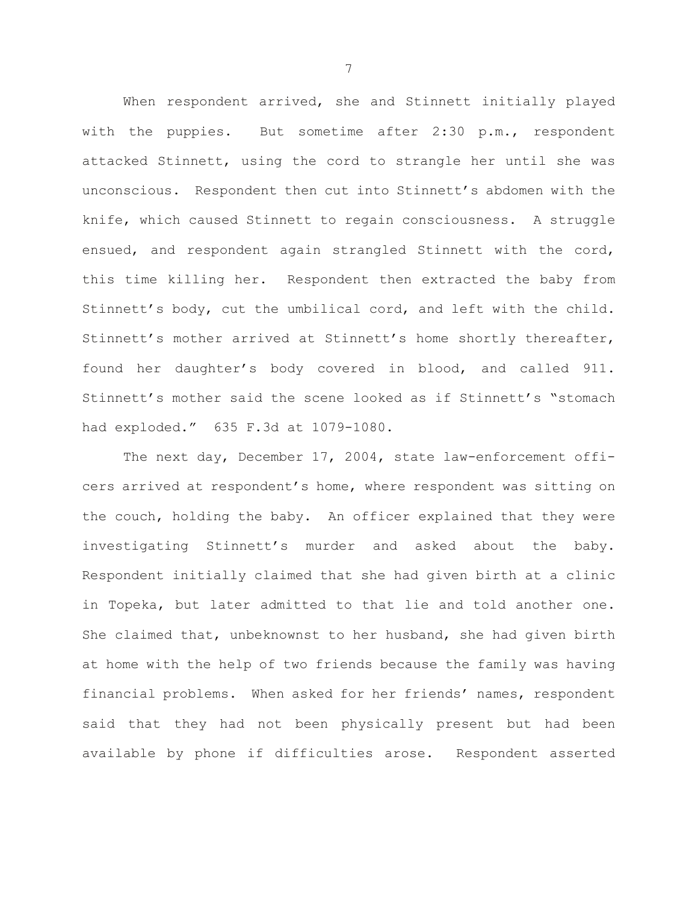When respondent arrived, she and Stinnett initially played with the puppies. But sometime after 2:30 p.m., respondent attacked Stinnett, using the cord to strangle her until she was unconscious. Respondent then cut into Stinnett's abdomen with the knife, which caused Stinnett to regain consciousness. A struggle ensued, and respondent again strangled Stinnett with the cord, this time killing her. Respondent then extracted the baby from Stinnett's body, cut the umbilical cord, and left with the child. Stinnett's mother arrived at Stinnett's home shortly thereafter, found her daughter's body covered in blood, and called 911. Stinnett's mother said the scene looked as if Stinnett's "stomach had exploded." 635 F.3d at 1079-1080.

The next day, December 17, 2004, state law-enforcement officers arrived at respondent's home, where respondent was sitting on the couch, holding the baby. An officer explained that they were investigating Stinnett's murder and asked about the baby. Respondent initially claimed that she had given birth at a clinic in Topeka, but later admitted to that lie and told another one. She claimed that, unbeknownst to her husband, she had given birth at home with the help of two friends because the family was having financial problems. When asked for her friends' names, respondent said that they had not been physically present but had been available by phone if difficulties arose. Respondent asserted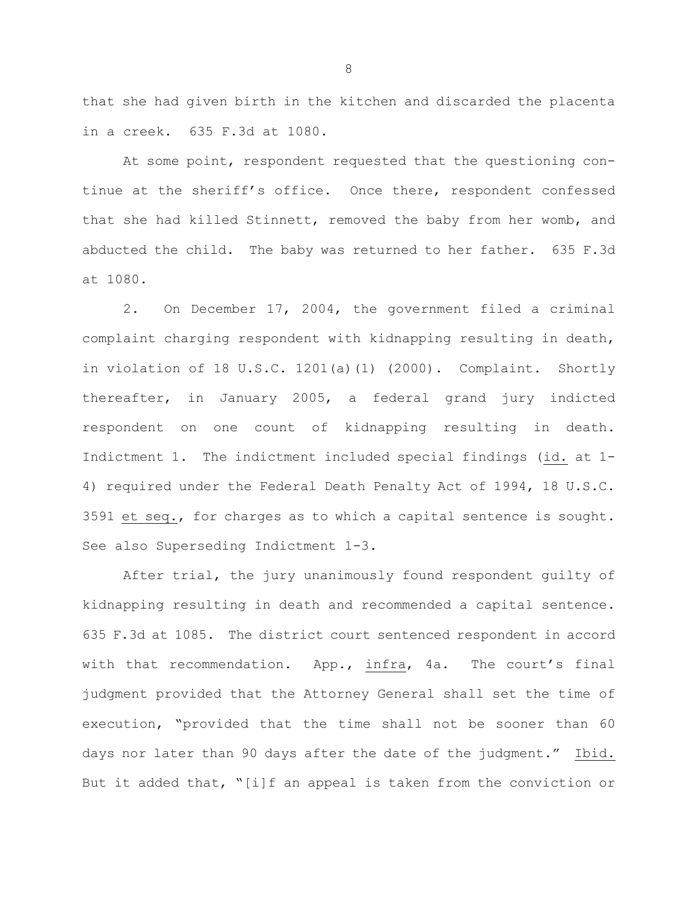that she had given birth in the kitchen and discarded the placenta in a creek. 635 F.3d at 1080.

At some point, respondent requested that the questioning continue at the sheriff's office. Once there, respondent confessed that she had killed Stinnett, removed the baby from her womb, and abducted the child. The baby was returned to her father. 635 F.3d at 1080.

2. On December 17, 2004, the government filed a criminal complaint charging respondent with kidnapping resulting in death, in violation of 18 U.S.C. 1201(a)(1) (2000). Complaint. Shortly thereafter, in January 2005, a federal grand jury indicted respondent on one count of kidnapping resulting in death. Indictment 1. The indictment included special findings (id. at 1- 4) required under the Federal Death Penalty Act of 1994, 18 U.S.C. 3591 et seq., for charges as to which a capital sentence is sought. See also Superseding Indictment 1-3.

After trial, the jury unanimously found respondent guilty of kidnapping resulting in death and recommended a capital sentence. 635 F.3d at 1085. The district court sentenced respondent in accord with that recommendation. App., infra, 4a. The court's final judgment provided that the Attorney General shall set the time of execution, "provided that the time shall not be sooner than 60 days nor later than 90 days after the date of the judgment." Ibid. But it added that, "[i]f an appeal is taken from the conviction or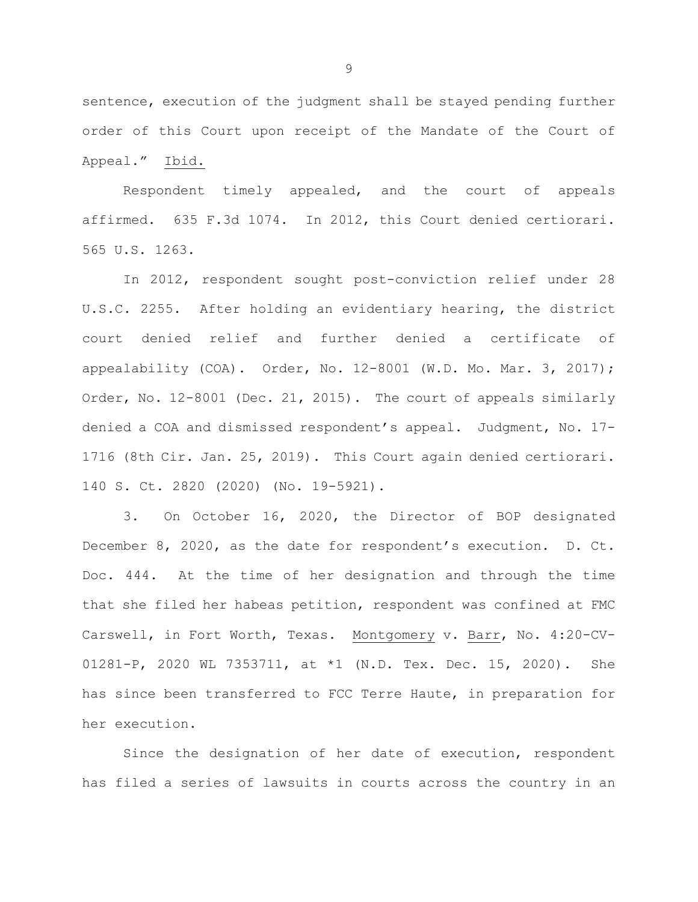sentence, execution of the judgment shall be stayed pending further order of this Court upon receipt of the Mandate of the Court of Appeal." Ibid.

Respondent timely appealed, and the court of appeals affirmed. 635 F.3d 1074. In 2012, this Court denied certiorari. 565 U.S. 1263.

In 2012, respondent sought post-conviction relief under 28 U.S.C. 2255. After holding an evidentiary hearing, the district court denied relief and further denied a certificate of appealability (COA). Order, No. 12-8001 (W.D. Mo. Mar. 3, 2017); Order, No. 12-8001 (Dec. 21, 2015). The court of appeals similarly denied a COA and dismissed respondent's appeal. Judgment, No. 17- 1716 (8th Cir. Jan. 25, 2019). This Court again denied certiorari. 140 S. Ct. 2820 (2020) (No. 19-5921).

3. On October 16, 2020, the Director of BOP designated December 8, 2020, as the date for respondent's execution. D. Ct. Doc. 444. At the time of her designation and through the time that she filed her habeas petition, respondent was confined at FMC Carswell, in Fort Worth, Texas. Montgomery v. Barr, No. 4:20-CV-01281-P, 2020 WL 7353711, at \*1 (N.D. Tex. Dec. 15, 2020). She has since been transferred to FCC Terre Haute, in preparation for her execution.

Since the designation of her date of execution, respondent has filed a series of lawsuits in courts across the country in an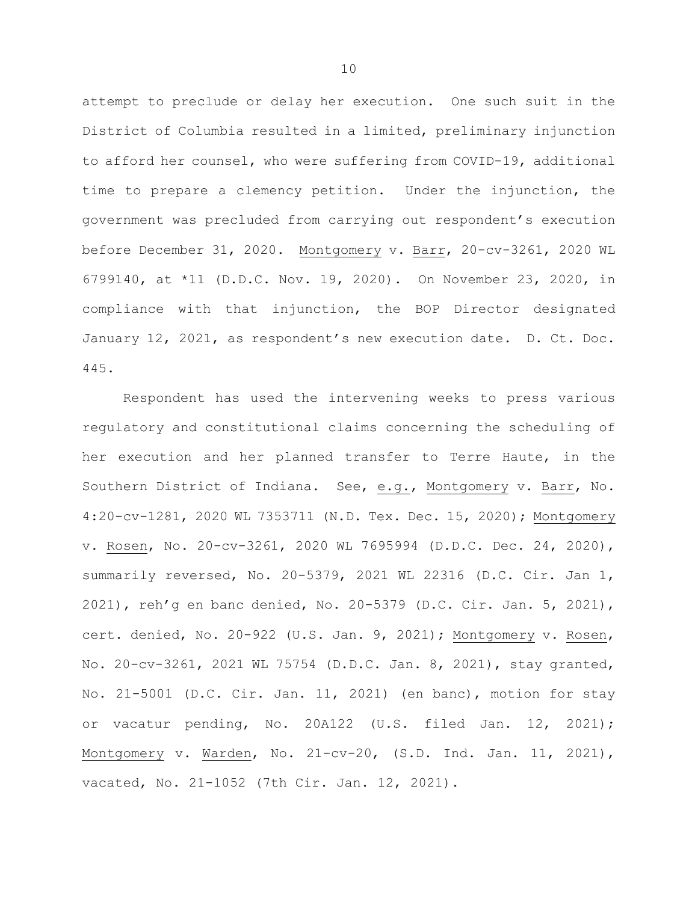attempt to preclude or delay her execution. One such suit in the District of Columbia resulted in a limited, preliminary injunction to afford her counsel, who were suffering from COVID-19, additional time to prepare a clemency petition. Under the injunction, the government was precluded from carrying out respondent's execution before December 31, 2020. Montgomery v. Barr, 20-cv-3261, 2020 WL 6799140, at \*11 (D.D.C. Nov. 19, 2020). On November 23, 2020, in compliance with that injunction, the BOP Director designated January 12, 2021, as respondent's new execution date. D. Ct. Doc. 445.

Respondent has used the intervening weeks to press various regulatory and constitutional claims concerning the scheduling of her execution and her planned transfer to Terre Haute, in the Southern District of Indiana. See, e.g., Montgomery v. Barr, No. 4:20-cv-1281, 2020 WL 7353711 (N.D. Tex. Dec. 15, 2020); Montgomery v. Rosen, No. 20-cv-3261, 2020 WL 7695994 (D.D.C. Dec. 24, 2020), summarily reversed, No. 20-5379, 2021 WL 22316 (D.C. Cir. Jan 1, 2021), reh'g en banc denied, No. 20-5379 (D.C. Cir. Jan. 5, 2021), cert. denied, No. 20-922 (U.S. Jan. 9, 2021); Montgomery v. Rosen, No. 20-cv-3261, 2021 WL 75754 (D.D.C. Jan. 8, 2021), stay granted, No. 21-5001 (D.C. Cir. Jan. 11, 2021) (en banc), motion for stay or vacatur pending, No. 20A122 (U.S. filed Jan. 12, 2021); Montgomery v. Warden, No. 21-cv-20, (S.D. Ind. Jan. 11, 2021), vacated, No. 21-1052 (7th Cir. Jan. 12, 2021).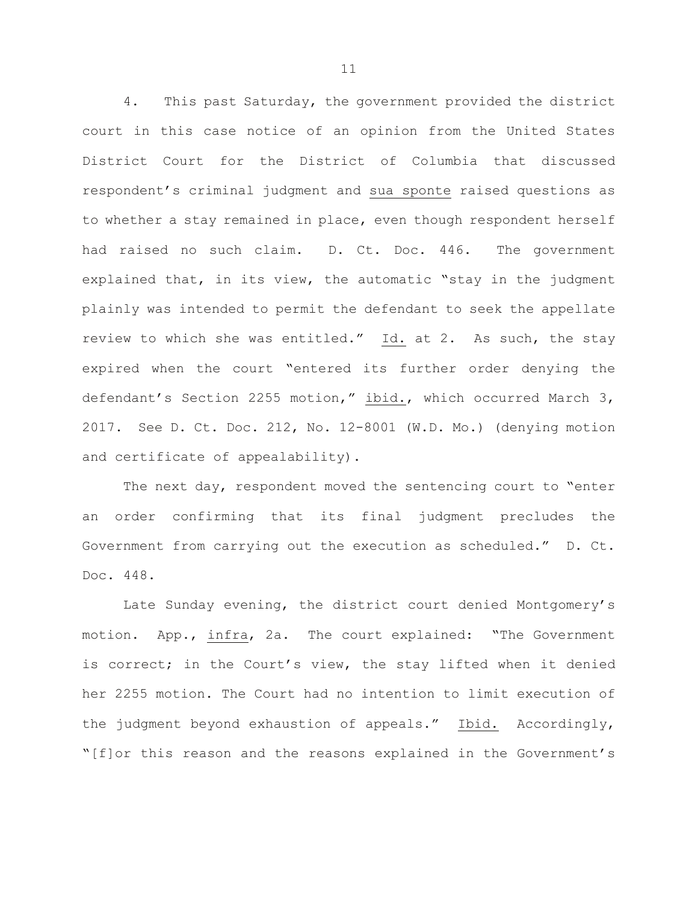4. This past Saturday, the government provided the district court in this case notice of an opinion from the United States District Court for the District of Columbia that discussed respondent's criminal judgment and sua sponte raised questions as to whether a stay remained in place, even though respondent herself had raised no such claim. D. Ct. Doc. 446. The government explained that, in its view, the automatic "stay in the judgment plainly was intended to permit the defendant to seek the appellate review to which she was entitled." Id. at 2. As such, the stay expired when the court "entered its further order denying the defendant's Section 2255 motion," ibid., which occurred March 3, 2017. See D. Ct. Doc. 212, No. 12-8001 (W.D. Mo.) (denying motion and certificate of appealability).

The next day, respondent moved the sentencing court to "enter an order confirming that its final judgment precludes the Government from carrying out the execution as scheduled." D. Ct. Doc. 448.

Late Sunday evening, the district court denied Montgomery's motion. App., infra, 2a. The court explained: "The Government is correct; in the Court's view, the stay lifted when it denied her 2255 motion. The Court had no intention to limit execution of the judgment beyond exhaustion of appeals." Ibid. Accordingly, "[f]or this reason and the reasons explained in the Government's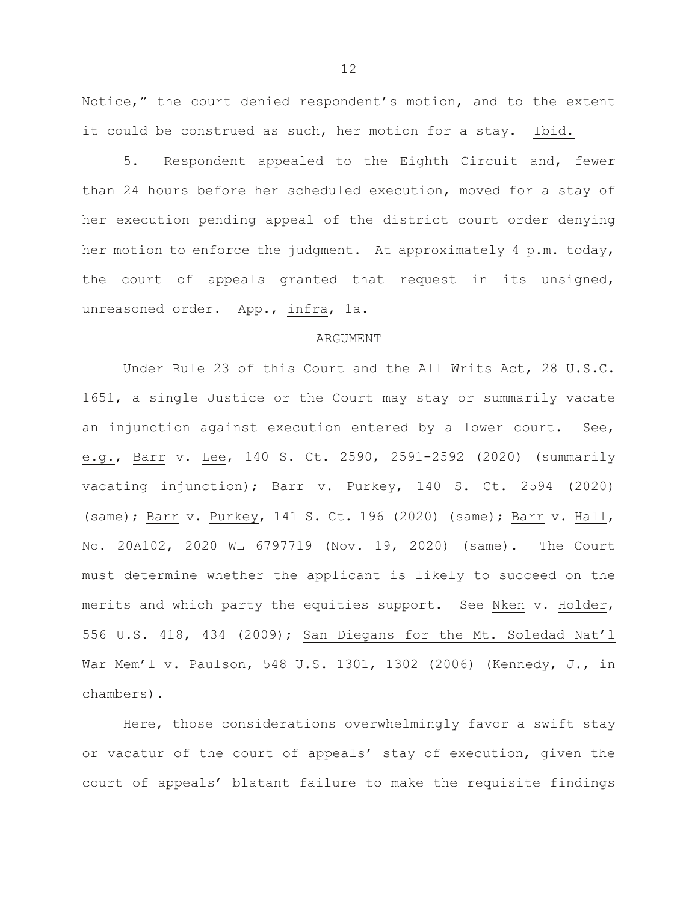Notice," the court denied respondent's motion, and to the extent it could be construed as such, her motion for a stay. Ibid.

5. Respondent appealed to the Eighth Circuit and, fewer than 24 hours before her scheduled execution, moved for a stay of her execution pending appeal of the district court order denying her motion to enforce the judgment. At approximately 4 p.m. today, the court of appeals granted that request in its unsigned, unreasoned order. App., infra, 1a.

#### ARGUMENT

Under Rule 23 of this Court and the All Writs Act, 28 U.S.C. 1651, a single Justice or the Court may stay or summarily vacate an injunction against execution entered by a lower court. See, e.g., Barr v. Lee, 140 S. Ct. 2590, 2591-2592 (2020) (summarily vacating injunction); Barr v. Purkey, 140 S. Ct. 2594 (2020) (same); Barr v. Purkey, 141 S. Ct. 196 (2020) (same); Barr v. Hall, No. 20A102, 2020 WL 6797719 (Nov. 19, 2020) (same). The Court must determine whether the applicant is likely to succeed on the merits and which party the equities support. See Nken v. Holder, 556 U.S. 418, 434 (2009); San Diegans for the Mt. Soledad Nat'l War Mem'l v. Paulson, 548 U.S. 1301, 1302 (2006) (Kennedy, J., in chambers).

Here, those considerations overwhelmingly favor a swift stay or vacatur of the court of appeals' stay of execution, given the court of appeals' blatant failure to make the requisite findings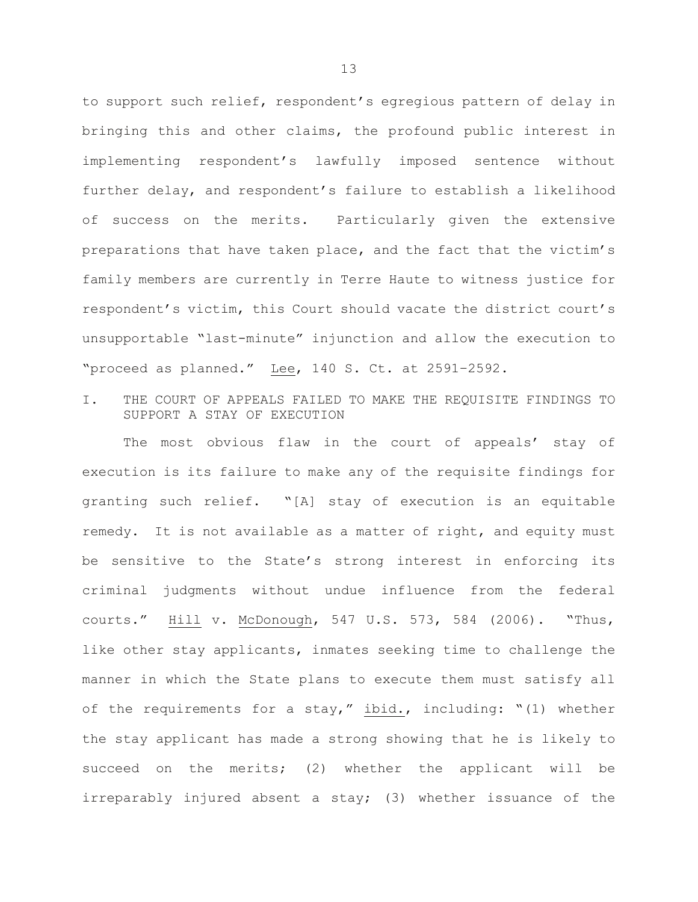to support such relief, respondent's egregious pattern of delay in bringing this and other claims, the profound public interest in implementing respondent's lawfully imposed sentence without further delay, and respondent's failure to establish a likelihood of success on the merits. Particularly given the extensive preparations that have taken place, and the fact that the victim's family members are currently in Terre Haute to witness justice for respondent's victim, this Court should vacate the district court's unsupportable "last-minute" injunction and allow the execution to "proceed as planned." Lee, 140 S. Ct. at 2591–2592.

I. THE COURT OF APPEALS FAILED TO MAKE THE REQUISITE FINDINGS TO SUPPORT A STAY OF EXECUTION

The most obvious flaw in the court of appeals' stay of execution is its failure to make any of the requisite findings for granting such relief. "[A] stay of execution is an equitable remedy. It is not available as a matter of right, and equity must be sensitive to the State's strong interest in enforcing its criminal judgments without undue influence from the federal courts." Hill v. McDonough, 547 U.S. 573, 584 (2006). "Thus, like other stay applicants, inmates seeking time to challenge the manner in which the State plans to execute them must satisfy all of the requirements for a stay," ibid., including: "(1) whether the stay applicant has made a strong showing that he is likely to succeed on the merits; (2) whether the applicant will be irreparably injured absent a stay; (3) whether issuance of the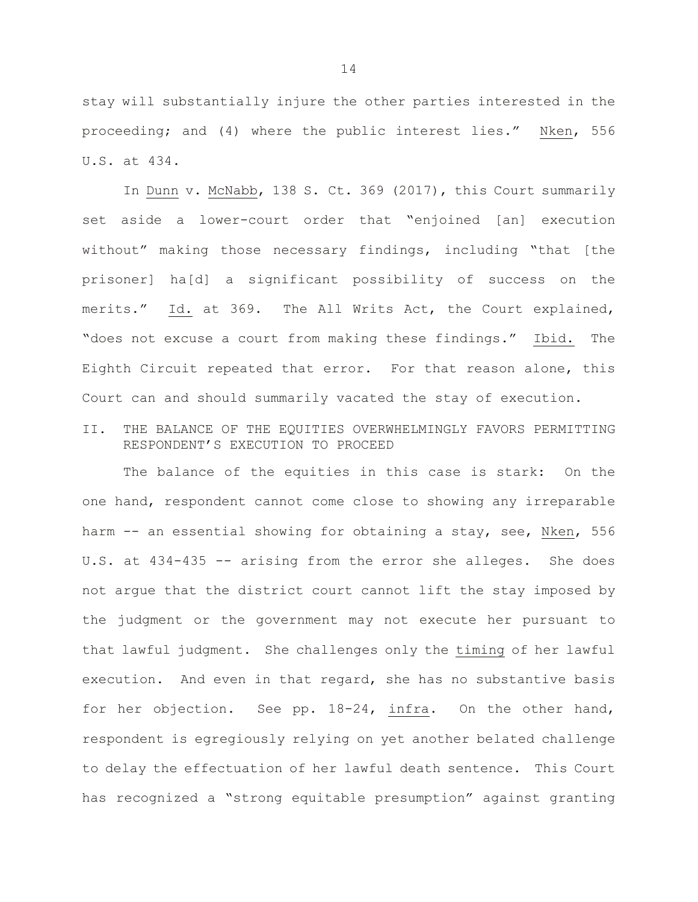stay will substantially injure the other parties interested in the proceeding; and (4) where the public interest lies." Nken, 556 U.S. at 434.

In Dunn v. McNabb, 138 S. Ct. 369 (2017), this Court summarily set aside a lower-court order that "enjoined [an] execution without" making those necessary findings, including "that [the prisoner] ha[d] a significant possibility of success on the merits." Id. at 369. The All Writs Act, the Court explained, "does not excuse a court from making these findings." Ibid. The Eighth Circuit repeated that error. For that reason alone, this Court can and should summarily vacated the stay of execution.

# II. THE BALANCE OF THE EQUITIES OVERWHELMINGLY FAVORS PERMITTING RESPONDENT'S EXECUTION TO PROCEED

The balance of the equities in this case is stark: On the one hand, respondent cannot come close to showing any irreparable harm -- an essential showing for obtaining a stay, see, Nken, 556 U.S. at 434-435 -- arising from the error she alleges. She does not argue that the district court cannot lift the stay imposed by the judgment or the government may not execute her pursuant to that lawful judgment. She challenges only the timing of her lawful execution. And even in that regard, she has no substantive basis for her objection. See pp. 18-24, infra. On the other hand, respondent is egregiously relying on yet another belated challenge to delay the effectuation of her lawful death sentence. This Court has recognized a "strong equitable presumption" against granting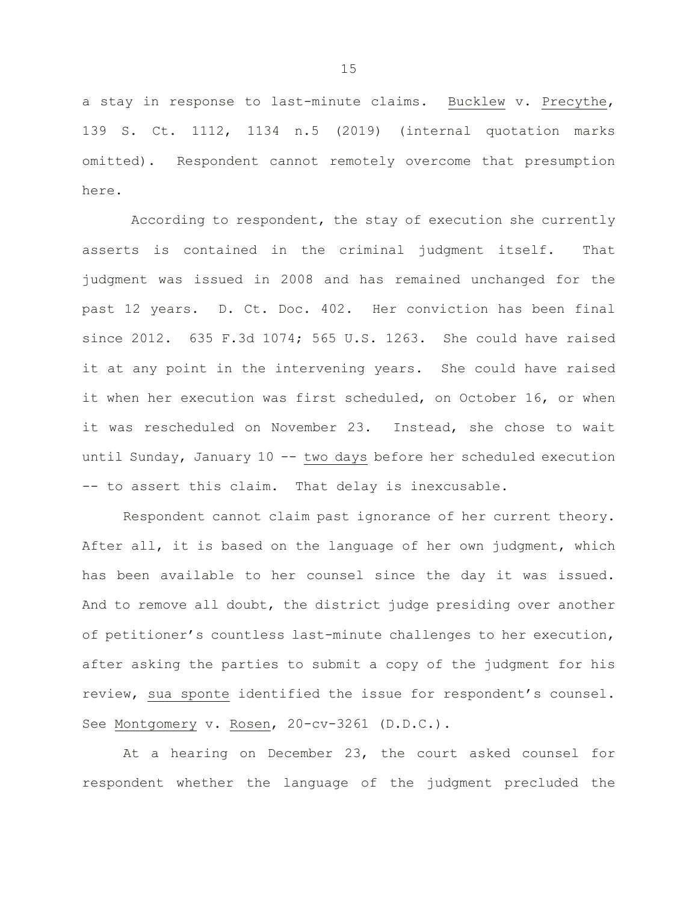a stay in response to last-minute claims. Bucklew v. Precythe, 139 S. Ct. 1112, 1134 n.5 (2019) (internal quotation marks omitted). Respondent cannot remotely overcome that presumption here.

According to respondent, the stay of execution she currently asserts is contained in the criminal judgment itself. That judgment was issued in 2008 and has remained unchanged for the past 12 years. D. Ct. Doc. 402. Her conviction has been final since 2012. 635 F.3d 1074; 565 U.S. 1263. She could have raised it at any point in the intervening years. She could have raised it when her execution was first scheduled, on October 16, or when it was rescheduled on November 23. Instead, she chose to wait until Sunday, January 10 -- two days before her scheduled execution -- to assert this claim. That delay is inexcusable.

Respondent cannot claim past ignorance of her current theory. After all, it is based on the language of her own judgment, which has been available to her counsel since the day it was issued. And to remove all doubt, the district judge presiding over another of petitioner's countless last-minute challenges to her execution, after asking the parties to submit a copy of the judgment for his review, sua sponte identified the issue for respondent's counsel. See Montgomery v. Rosen, 20-cv-3261 (D.D.C.).

At a hearing on December 23, the court asked counsel for respondent whether the language of the judgment precluded the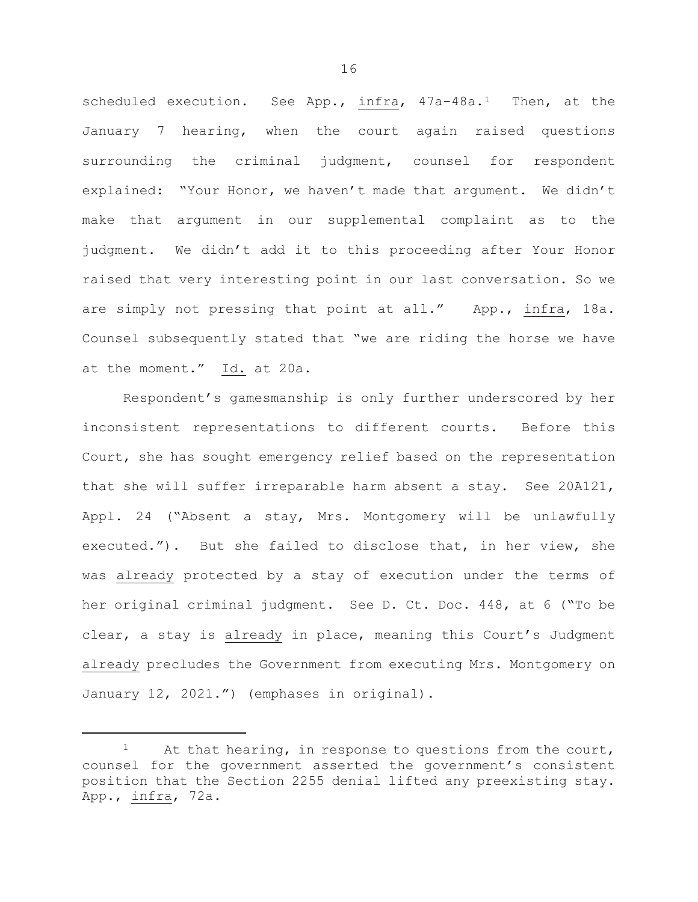scheduled execution. See App., infra, 47a-48a.<sup>1</sup> Then, at the January 7 hearing, when the court again raised questions surrounding the criminal judgment, counsel for respondent explained: "Your Honor, we haven't made that argument. We didn't make that argument in our supplemental complaint as to the judgment. We didn't add it to this proceeding after Your Honor raised that very interesting point in our last conversation. So we are simply not pressing that point at all." App., infra, 18a. Counsel subsequently stated that "we are riding the horse we have at the moment." Id. at 20a.

Respondent's gamesmanship is only further underscored by her inconsistent representations to different courts. Before this Court, she has sought emergency relief based on the representation that she will suffer irreparable harm absent a stay. See 20A121, Appl. 24 ("Absent a stay, Mrs. Montgomery will be unlawfully executed."). But she failed to disclose that, in her view, she was already protected by a stay of execution under the terms of her original criminal judgment. See D. Ct. Doc. 448, at 6 ("To be clear, a stay is already in place, meaning this Court's Judgment already precludes the Government from executing Mrs. Montgomery on January 12, 2021.") (emphases in original).

Ĩ.

<span id="page-18-0"></span>At that hearing, in response to questions from the court, counsel for the government asserted the government's consistent position that the Section 2255 denial lifted any preexisting stay. App., infra, 72a.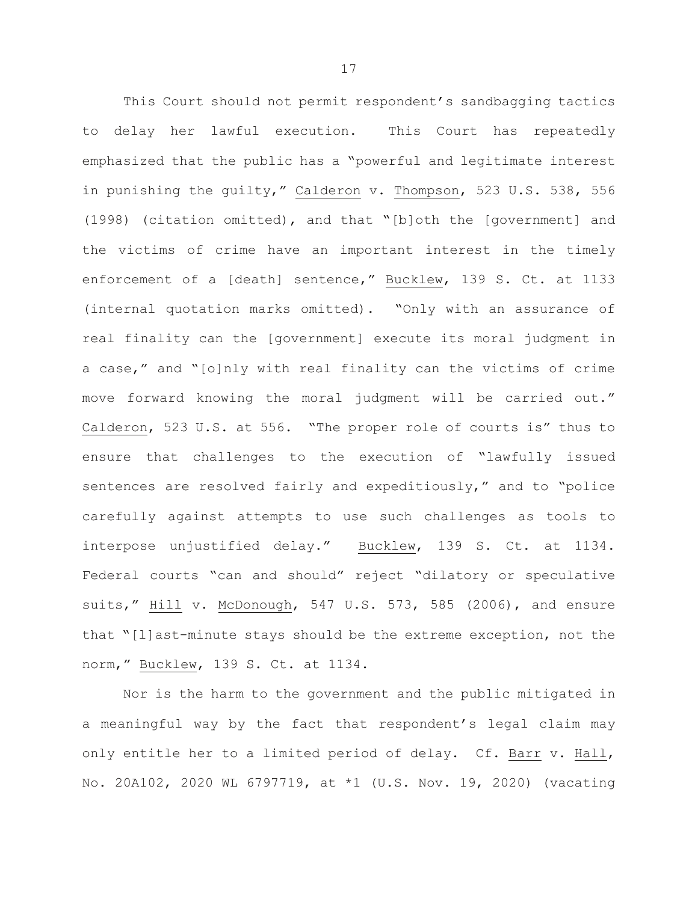This Court should not permit respondent's sandbagging tactics to delay her lawful execution. This Court has repeatedly emphasized that the public has a "powerful and legitimate interest in punishing the guilty," Calderon v. Thompson, 523 U.S. 538, 556 (1998) (citation omitted), and that "[b]oth the [government] and the victims of crime have an important interest in the timely enforcement of a [death] sentence," Bucklew, 139 S. Ct. at 1133 (internal quotation marks omitted). "Only with an assurance of real finality can the [government] execute its moral judgment in a case," and "[o]nly with real finality can the victims of crime move forward knowing the moral judgment will be carried out." Calderon, 523 U.S. at 556. "The proper role of courts is" thus to ensure that challenges to the execution of "lawfully issued sentences are resolved fairly and expeditiously," and to "police carefully against attempts to use such challenges as tools to interpose unjustified delay." Bucklew, 139 S. Ct. at 1134. Federal courts "can and should" reject "dilatory or speculative suits," Hill v. McDonough, 547 U.S. 573, 585 (2006), and ensure that "[l]ast-minute stays should be the extreme exception, not the norm," Bucklew, 139 S. Ct. at 1134.

Nor is the harm to the government and the public mitigated in a meaningful way by the fact that respondent's legal claim may only entitle her to a limited period of delay. Cf. Barr v. Hall, No. 20A102, 2020 WL 6797719, at \*1 (U.S. Nov. 19, 2020) (vacating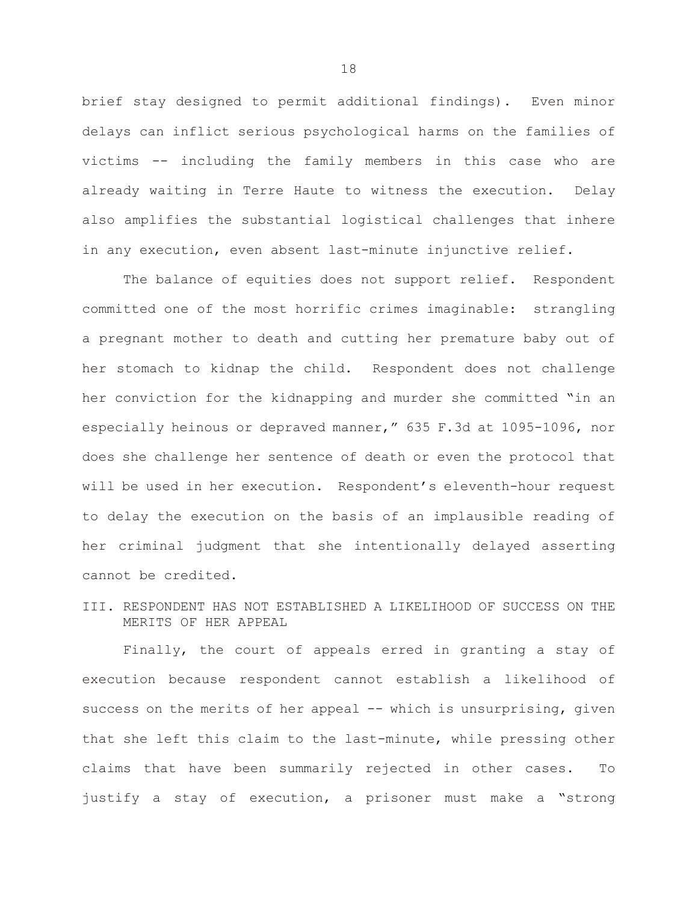brief stay designed to permit additional findings). Even minor delays can inflict serious psychological harms on the families of victims -- including the family members in this case who are already waiting in Terre Haute to witness the execution. Delay also amplifies the substantial logistical challenges that inhere in any execution, even absent last-minute injunctive relief.

The balance of equities does not support relief. Respondent committed one of the most horrific crimes imaginable: strangling a pregnant mother to death and cutting her premature baby out of her stomach to kidnap the child. Respondent does not challenge her conviction for the kidnapping and murder she committed "in an especially heinous or depraved manner," 635 F.3d at 1095-1096, nor does she challenge her sentence of death or even the protocol that will be used in her execution. Respondent's eleventh-hour request to delay the execution on the basis of an implausible reading of her criminal judgment that she intentionally delayed asserting cannot be credited.

III. RESPONDENT HAS NOT ESTABLISHED A LIKELIHOOD OF SUCCESS ON THE MERITS OF HER APPEAL

Finally, the court of appeals erred in granting a stay of execution because respondent cannot establish a likelihood of success on the merits of her appeal -- which is unsurprising, given that she left this claim to the last-minute, while pressing other claims that have been summarily rejected in other cases. To justify a stay of execution, a prisoner must make a "strong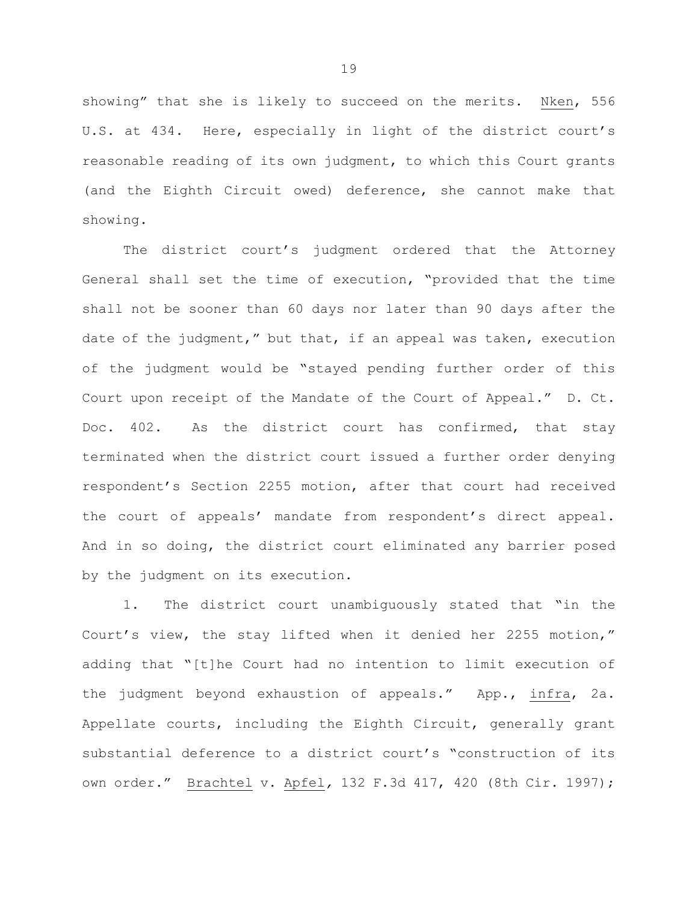showing" that she is likely to succeed on the merits. Nken, 556 U.S. at 434. Here, especially in light of the district court's reasonable reading of its own judgment, to which this Court grants (and the Eighth Circuit owed) deference, she cannot make that showing.

The district court's judgment ordered that the Attorney General shall set the time of execution, "provided that the time shall not be sooner than 60 days nor later than 90 days after the date of the judgment," but that, if an appeal was taken, execution of the judgment would be "stayed pending further order of this Court upon receipt of the Mandate of the Court of Appeal." D. Ct. Doc. 402. As the district court has confirmed, that stay terminated when the district court issued a further order denying respondent's Section 2255 motion, after that court had received the court of appeals' mandate from respondent's direct appeal. And in so doing, the district court eliminated any barrier posed by the judgment on its execution.

1. The district court unambiguously stated that "in the Court's view, the stay lifted when it denied her 2255 motion," adding that "[t]he Court had no intention to limit execution of the judgment beyond exhaustion of appeals." App., infra, 2a. Appellate courts, including the Eighth Circuit, generally grant substantial deference to a district court's "construction of its own order." Brachtel v. Apfel*,* 132 F.3d 417, 420 (8th Cir. 1997);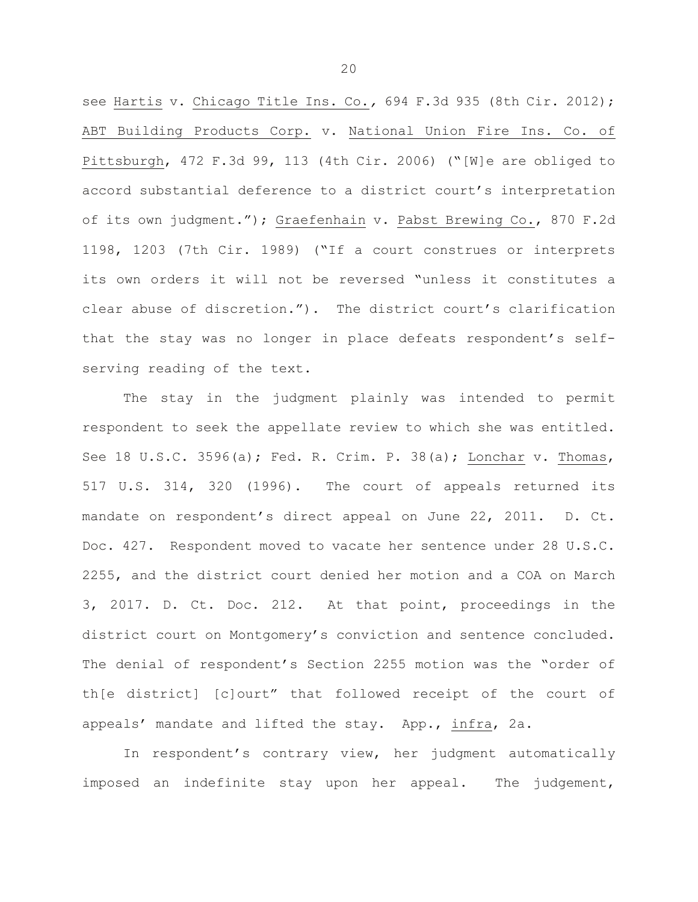see Hartis v. Chicago Title Ins. Co.*,* 694 F.3d 935 (8th Cir. 2012); ABT Building Products Corp. v. National Union Fire Ins. Co. of Pittsburgh, 472 F.3d 99, 113 (4th Cir. 2006) ("[W]e are obliged to accord substantial deference to a district court's interpretation of its own judgment."); Graefenhain v. Pabst Brewing Co., 870 F.2d 1198, 1203 (7th Cir. 1989) ("If a court construes or interprets its own orders it will not be reversed "unless it constitutes a clear abuse of discretion."). The district court's clarification that the stay was no longer in place defeats respondent's selfserving reading of the text.

The stay in the judgment plainly was intended to permit respondent to seek the appellate review to which she was entitled. See 18 U.S.C. 3596(a); Fed. R. Crim. P. 38(a); Lonchar v. Thomas, 517 U.S. 314, 320 (1996). The court of appeals returned its mandate on respondent's direct appeal on June 22, 2011. D. Ct. Doc. 427. Respondent moved to vacate her sentence under 28 U.S.C. 2255, and the district court denied her motion and a COA on March 3, 2017. D. Ct. Doc. 212. At that point, proceedings in the district court on Montgomery's conviction and sentence concluded. The denial of respondent's Section 2255 motion was the "order of th[e district] [c]ourt" that followed receipt of the court of appeals' mandate and lifted the stay. App., infra, 2a.

In respondent's contrary view, her judgment automatically imposed an indefinite stay upon her appeal. The judgement,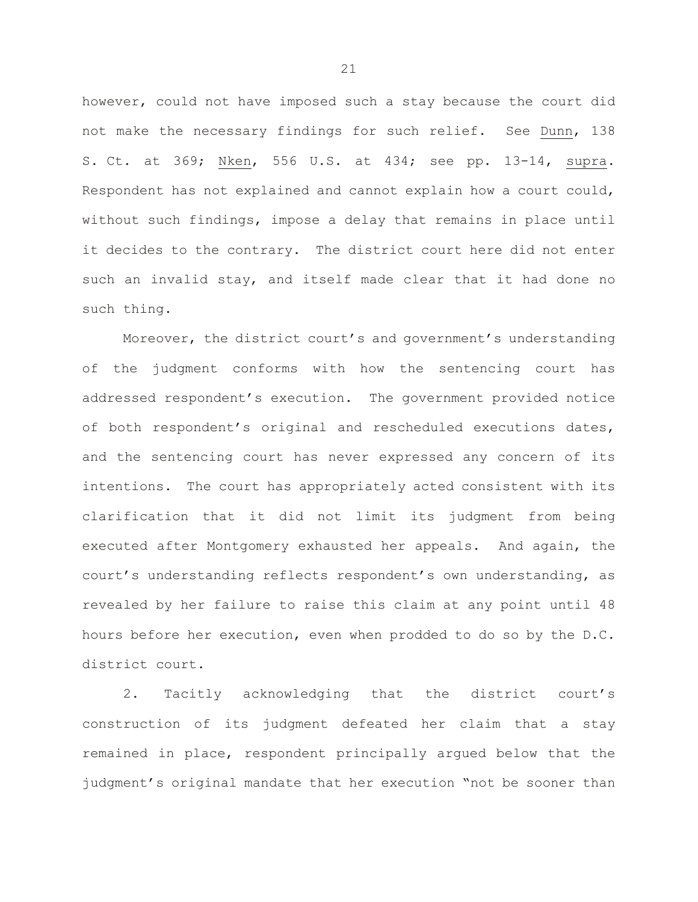however, could not have imposed such a stay because the court did not make the necessary findings for such relief. See Dunn, 138 S. Ct. at 369; Nken, 556 U.S. at 434; see pp. 13-14, supra. Respondent has not explained and cannot explain how a court could, without such findings, impose a delay that remains in place until it decides to the contrary. The district court here did not enter such an invalid stay, and itself made clear that it had done no such thing.

Moreover, the district court's and government's understanding of the judgment conforms with how the sentencing court has addressed respondent's execution. The government provided notice of both respondent's original and rescheduled executions dates, and the sentencing court has never expressed any concern of its intentions. The court has appropriately acted consistent with its clarification that it did not limit its judgment from being executed after Montgomery exhausted her appeals. And again, the court's understanding reflects respondent's own understanding, as revealed by her failure to raise this claim at any point until 48 hours before her execution, even when prodded to do so by the D.C. district court.

2. Tacitly acknowledging that the district court's construction of its judgment defeated her claim that a stay remained in place, respondent principally argued below that the judgment's original mandate that her execution "not be sooner than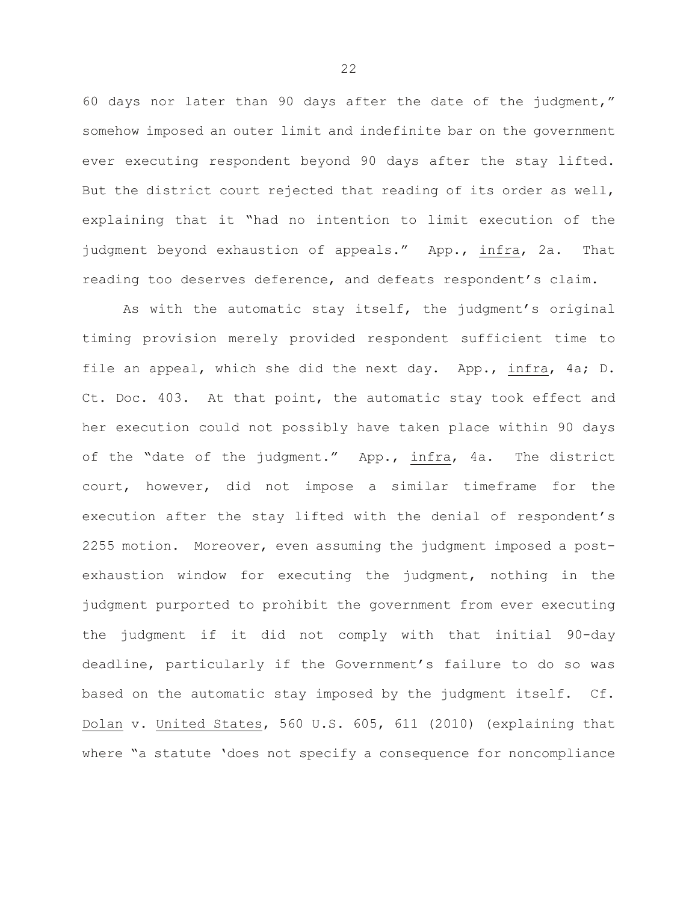60 days nor later than 90 days after the date of the judgment," somehow imposed an outer limit and indefinite bar on the government ever executing respondent beyond 90 days after the stay lifted. But the district court rejected that reading of its order as well, explaining that it "had no intention to limit execution of the judgment beyond exhaustion of appeals." App., infra, 2a. That reading too deserves deference, and defeats respondent's claim.

As with the automatic stay itself, the judgment's original timing provision merely provided respondent sufficient time to file an appeal, which she did the next day. App., infra, 4a; D. Ct. Doc. 403. At that point, the automatic stay took effect and her execution could not possibly have taken place within 90 days of the "date of the judgment." App., infra, 4a. The district court, however, did not impose a similar timeframe for the execution after the stay lifted with the denial of respondent's 2255 motion. Moreover, even assuming the judgment imposed a postexhaustion window for executing the judgment, nothing in the judgment purported to prohibit the government from ever executing the judgment if it did not comply with that initial 90-day deadline, particularly if the Government's failure to do so was based on the automatic stay imposed by the judgment itself. Cf. Dolan v. United States, 560 U.S. 605, 611 (2010) (explaining that where "a statute 'does not specify a consequence for noncompliance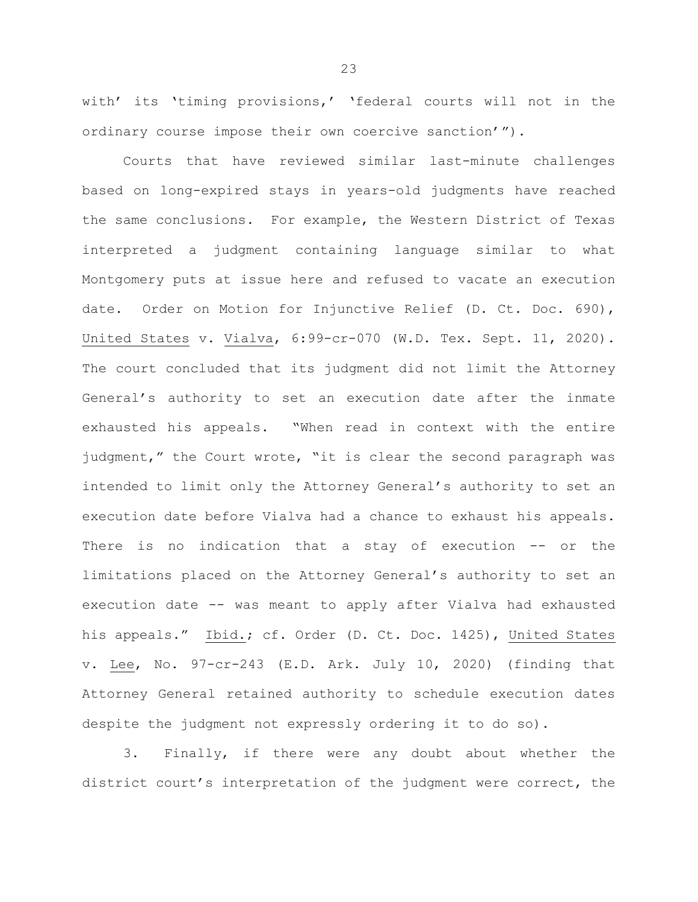with' its 'timing provisions,' 'federal courts will not in the ordinary course impose their own coercive sanction'").

Courts that have reviewed similar last-minute challenges based on long-expired stays in years-old judgments have reached the same conclusions. For example, the Western District of Texas interpreted a judgment containing language similar to what Montgomery puts at issue here and refused to vacate an execution date. Order on Motion for Injunctive Relief (D. Ct. Doc. 690), United States v. Vialva, 6:99-cr-070 (W.D. Tex. Sept. 11, 2020). The court concluded that its judgment did not limit the Attorney General's authority to set an execution date after the inmate exhausted his appeals. "When read in context with the entire judgment," the Court wrote, "it is clear the second paragraph was intended to limit only the Attorney General's authority to set an execution date before Vialva had a chance to exhaust his appeals. There is no indication that a stay of execution -- or the limitations placed on the Attorney General's authority to set an execution date -- was meant to apply after Vialva had exhausted his appeals." Ibid.; cf. Order (D. Ct. Doc. 1425), United States v. Lee, No. 97-cr-243 (E.D. Ark. July 10, 2020) (finding that Attorney General retained authority to schedule execution dates despite the judgment not expressly ordering it to do so).

3. Finally, if there were any doubt about whether the district court's interpretation of the judgment were correct, the